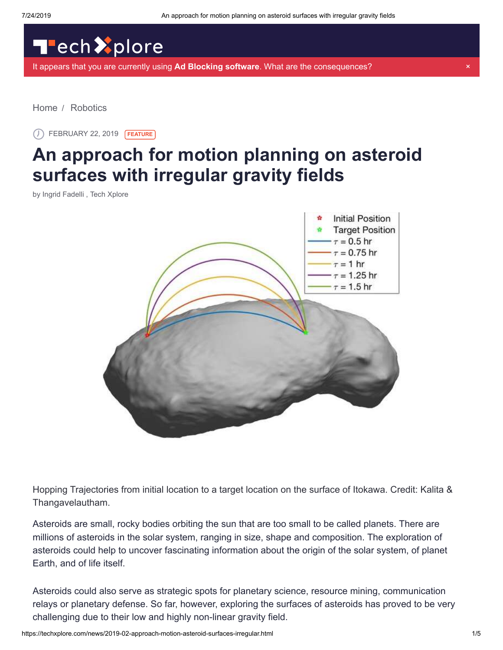## TechXplore

[It appears that you are currently using](https://sciencex.com/help/adblock/) **Ad Blocking software**. What are the consequences? ×

[Home](https://techxplore.com/) / [Robotics](https://techxplore.com/robotics-news/)

FEBRUARY 22, 2019 **FEATURE**

## **An approach for motion planning on asteroid surfaces with irregular gravity fields**

by Ingrid Fadelli , Tech Xplore



Hopping Trajectories from initial location to a target location on the surface of Itokawa. Credit: Kalita & Thangavelautham.

Asteroids are small, rocky bodies orbiting the sun that are too small to be called planets. There are millions of asteroids in the solar system, ranging in size, shape and composition. The exploration of asteroids could help to uncover fascinating information about the origin of the solar system, of planet Earth, and of life itself.

Asteroids could also serve as strategic spots for planetary science, resource mining, communication relays or planetary defense. So far, however, exploring the surfaces of asteroids has proved to be very challenging due to their low and highly non-linear gravity field.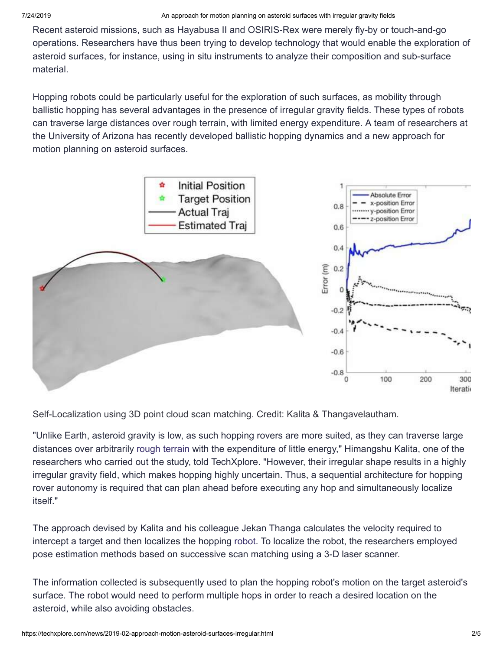Recent asteroid missions, such as Hayabusa II and OSIRIS-Rex were merely fly-by or touch-and-go operations. Researchers have thus been trying to develop technology that would enable the exploration of asteroid surfaces, for instance, using in situ instruments to analyze their composition and sub-surface material.

Hopping robots could be particularly useful for the exploration of such surfaces, as mobility through ballistic hopping has several advantages in the presence of irregular gravity fields. These types of robots can traverse large distances over rough terrain, with limited energy expenditure. A team of researchers at the University of Arizona has recently developed ballistic hopping dynamics and a new approach for motion planning on asteroid surfaces.



Self-Localization using 3D point cloud scan matching. Credit: Kalita & Thangavelautham.

"Unlike Earth, asteroid gravity is low, as such hopping rovers are more suited, as they can traverse large distances over arbitrarily [rough terrain](https://techxplore.com/tags/rough+terrain/) with the expenditure of little energy," Himangshu Kalita, one of the researchers who carried out the study, told TechXplore. "However, their irregular shape results in a highly irregular gravity field, which makes hopping highly uncertain. Thus, a sequential architecture for hopping rover autonomy is required that can plan ahead before executing any hop and simultaneously localize itself."

The approach devised by Kalita and his colleague Jekan Thanga calculates the velocity required to intercept a target and then localizes the hopping [robot.](https://techxplore.com/tags/robot/) To localize the robot, the researchers employed pose estimation methods based on successive scan matching using a 3-D laser scanner.

The information collected is subsequently used to plan the hopping robot's motion on the target asteroid's surface. The robot would need to perform multiple hops in order to reach a desired location on the asteroid, while also avoiding obstacles.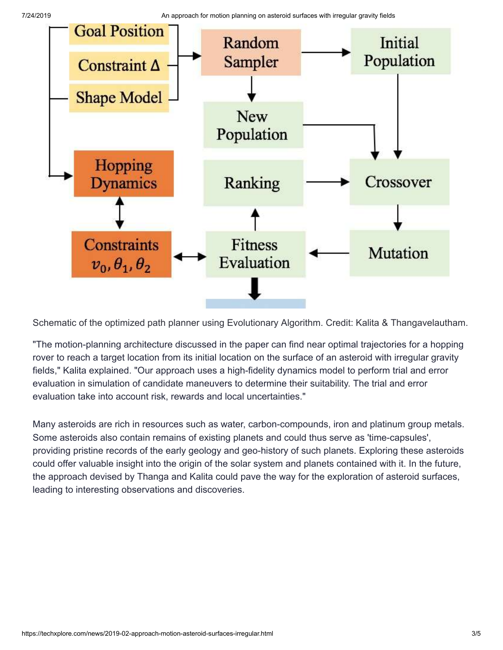7/24/2019 An approach for motion planning on asteroid surfaces with irregular gravity fields



Schematic of the optimized path planner using Evolutionary Algorithm. Credit: Kalita & Thangavelautham.

"The motion-planning architecture discussed in the paper can find near optimal trajectories for a hopping rover to reach a target location from its initial location on the surface of an asteroid with irregular gravity fields," Kalita explained. "Our approach uses a high-fidelity dynamics model to perform trial and error evaluation in simulation of candidate maneuvers to determine their suitability. The trial and error evaluation take into account risk, rewards and local uncertainties."

Many asteroids are rich in resources such as water, carbon-compounds, iron and platinum group metals. Some asteroids also contain remains of existing planets and could thus serve as 'time-capsules', providing pristine records of the early geology and geo-history of such planets. Exploring these asteroids could offer valuable insight into the origin of the solar system and planets contained with it. In the future, the approach devised by Thanga and Kalita could pave the way for the exploration of asteroid surfaces, leading to interesting observations and discoveries.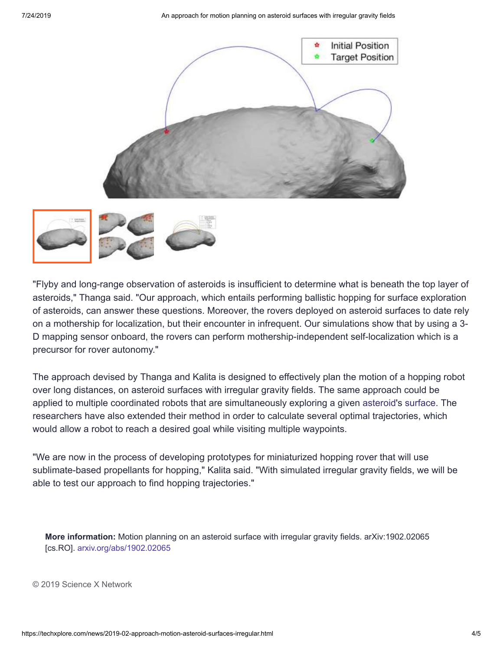



"Flyby and long-range observation of asteroids is insufficient to determine what is beneath the top layer of asteroids," Thanga said. "Our approach, which entails performing ballistic hopping for surface exploration of asteroids, can answer these questions. Moreover, the rovers deployed on asteroid surfaces to date rely on a mothership for localization, but their encounter in infrequent. Our simulations show that by using a 3- D mapping sensor onboard, the rovers can perform mothership-independent self-localization which is a precursor for rover autonomy."

The approach devised by Thanga and Kalita is designed to effectively plan the motion of a hopping robot over long distances, on asteroid surfaces with irregular gravity fields. The same approach could be applied to multiple coordinated robots that are simultaneously exploring a given [asteroid](https://techxplore.com/tags/asteroid/)'s [surface.](https://techxplore.com/tags/surface/) The researchers have also extended their method in order to calculate several optimal trajectories, which would allow a robot to reach a desired goal while visiting multiple waypoints.

"We are now in the process of developing prototypes for miniaturized hopping rover that will use sublimate-based propellants for hopping," Kalita said. "With simulated irregular gravity fields, we will be able to test our approach to find hopping trajectories."

**More information:** Motion planning on an asteroid surface with irregular gravity fields. arXiv:1902.02065 [cs.RO]. [arxiv.org/abs/1902.02065](https://arxiv.org/abs/1902.02065)

© 2019 Science X Network